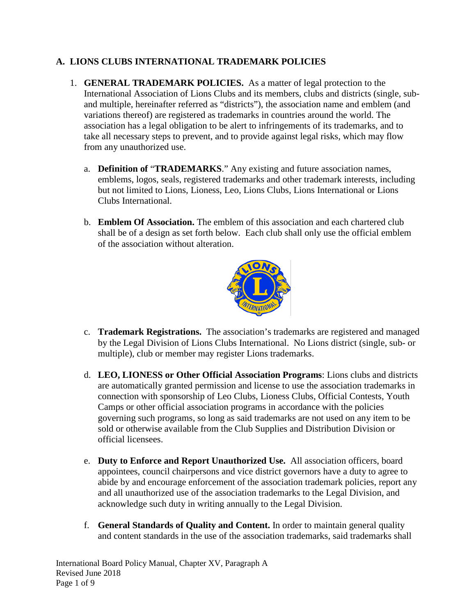## **A. LIONS CLUBS INTERNATIONAL TRADEMARK POLICIES**

- 1. **GENERAL TRADEMARK POLICIES.** As a matter of legal protection to the International Association of Lions Clubs and its members, clubs and districts (single, suband multiple, hereinafter referred as "districts"), the association name and emblem (and variations thereof) are registered as trademarks in countries around the world. The association has a legal obligation to be alert to infringements of its trademarks, and to take all necessary steps to prevent, and to provide against legal risks, which may flow from any unauthorized use.
	- a. **Definition of** "**TRADEMARKS**." Any existing and future association names, emblems, logos, seals, registered trademarks and other trademark interests, including but not limited to Lions, Lioness, Leo, Lions Clubs, Lions International or Lions Clubs International.
	- b. **Emblem Of Association.** The emblem of this association and each chartered club shall be of a design as set forth below. Each club shall only use the official emblem of the association without alteration.



- c. **Trademark Registrations.** The association's trademarks are registered and managed by the Legal Division of Lions Clubs International. No Lions district (single, sub- or multiple), club or member may register Lions trademarks.
- d. **LEO, LIONESS or Other Official Association Programs**: Lions clubs and districts are automatically granted permission and license to use the association trademarks in connection with sponsorship of Leo Clubs, Lioness Clubs, Official Contests, Youth Camps or other official association programs in accordance with the policies governing such programs, so long as said trademarks are not used on any item to be sold or otherwise available from the Club Supplies and Distribution Division or official licensees.
- e. **Duty to Enforce and Report Unauthorized Use.** All association officers, board appointees, council chairpersons and vice district governors have a duty to agree to abide by and encourage enforcement of the association trademark policies, report any and all unauthorized use of the association trademarks to the Legal Division, and acknowledge such duty in writing annually to the Legal Division.
- f. **General Standards of Quality and Content.** In order to maintain general quality and content standards in the use of the association trademarks, said trademarks shall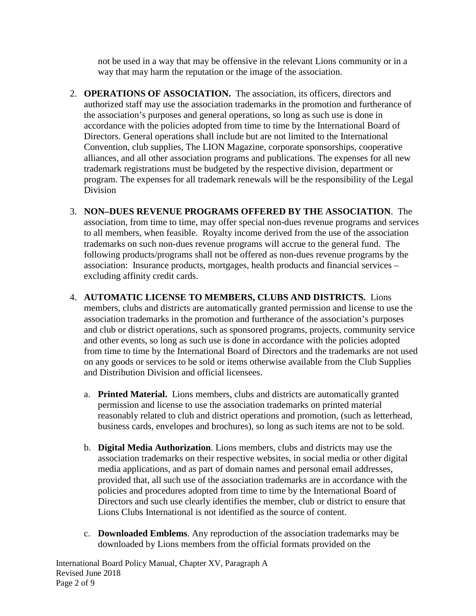not be used in a way that may be offensive in the relevant Lions community or in a way that may harm the reputation or the image of the association.

- 2. **OPERATIONS OF ASSOCIATION.** The association, its officers, directors and authorized staff may use the association trademarks in the promotion and furtherance of the association's purposes and general operations, so long as such use is done in accordance with the policies adopted from time to time by the International Board of Directors. General operations shall include but are not limited to the International Convention, club supplies, The LION Magazine, corporate sponsorships, cooperative alliances, and all other association programs and publications. The expenses for all new trademark registrations must be budgeted by the respective division, department or program. The expenses for all trademark renewals will be the responsibility of the Legal Division
- 3. **NON–DUES REVENUE PROGRAMS OFFERED BY THE ASSOCIATION**. The association, from time to time, may offer special non-dues revenue programs and services to all members, when feasible. Royalty income derived from the use of the association trademarks on such non-dues revenue programs will accrue to the general fund. The following products/programs shall not be offered as non-dues revenue programs by the association: Insurance products, mortgages, health products and financial services – excluding affinity credit cards.
- 4. **AUTOMATIC LICENSE TO MEMBERS, CLUBS AND DISTRICTS.** Lions members, clubs and districts are automatically granted permission and license to use the association trademarks in the promotion and furtherance of the association's purposes and club or district operations, such as sponsored programs, projects, community service and other events, so long as such use is done in accordance with the policies adopted from time to time by the International Board of Directors and the trademarks are not used on any goods or services to be sold or items otherwise available from the Club Supplies and Distribution Division and official licensees.
	- a. **Printed Material.** Lions members, clubs and districts are automatically granted permission and license to use the association trademarks on printed material reasonably related to club and district operations and promotion, (such as letterhead, business cards, envelopes and brochures), so long as such items are not to be sold.
	- b. **Digital Media Authorization**. Lions members, clubs and districts may use the association trademarks on their respective websites, in social media or other digital media applications, and as part of domain names and personal email addresses, provided that, all such use of the association trademarks are in accordance with the policies and procedures adopted from time to time by the International Board of Directors and such use clearly identifies the member, club or district to ensure that Lions Clubs International is not identified as the source of content.
	- c. **Downloaded Emblems**. Any reproduction of the association trademarks may be downloaded by Lions members from the official formats provided on the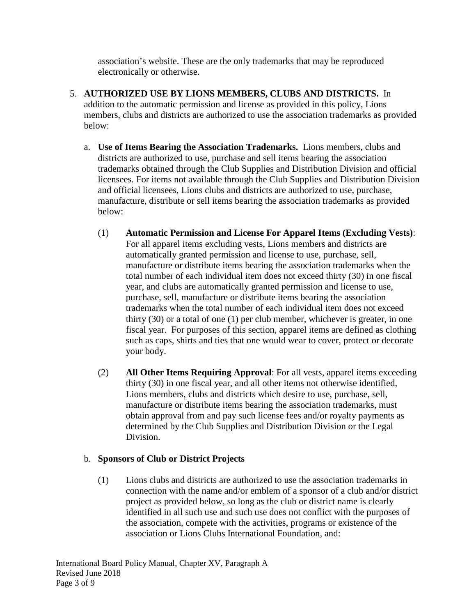association's website. These are the only trademarks that may be reproduced electronically or otherwise.

- 5. **AUTHORIZED USE BY LIONS MEMBERS, CLUBS AND DISTRICTS.** In addition to the automatic permission and license as provided in this policy, Lions members, clubs and districts are authorized to use the association trademarks as provided below:
	- a. **Use of Items Bearing the Association Trademarks.** Lions members, clubs and districts are authorized to use, purchase and sell items bearing the association trademarks obtained through the Club Supplies and Distribution Division and official licensees. For items not available through the Club Supplies and Distribution Division and official licensees, Lions clubs and districts are authorized to use, purchase, manufacture, distribute or sell items bearing the association trademarks as provided below:
		- (1) **Automatic Permission and License For Apparel Items (Excluding Vests)**: For all apparel items excluding vests, Lions members and districts are automatically granted permission and license to use, purchase, sell, manufacture or distribute items bearing the association trademarks when the total number of each individual item does not exceed thirty (30) in one fiscal year, and clubs are automatically granted permission and license to use, purchase, sell, manufacture or distribute items bearing the association trademarks when the total number of each individual item does not exceed thirty (30) or a total of one (1) per club member, whichever is greater, in one fiscal year. For purposes of this section, apparel items are defined as clothing such as caps, shirts and ties that one would wear to cover, protect or decorate your body.
		- (2) **All Other Items Requiring Approval**: For all vests, apparel items exceeding thirty (30) in one fiscal year, and all other items not otherwise identified, Lions members, clubs and districts which desire to use, purchase, sell, manufacture or distribute items bearing the association trademarks, must obtain approval from and pay such license fees and/or royalty payments as determined by the Club Supplies and Distribution Division or the Legal Division.

## b. **Sponsors of Club or District Projects**

(1) Lions clubs and districts are authorized to use the association trademarks in connection with the name and/or emblem of a sponsor of a club and/or district project as provided below, so long as the club or district name is clearly identified in all such use and such use does not conflict with the purposes of the association, compete with the activities, programs or existence of the association or Lions Clubs International Foundation, and: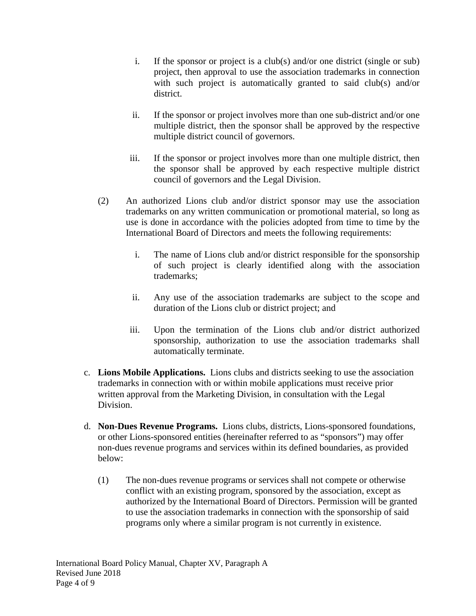- i. If the sponsor or project is a club(s) and/or one district (single or sub) project, then approval to use the association trademarks in connection with such project is automatically granted to said club(s) and/or district.
- ii. If the sponsor or project involves more than one sub-district and/or one multiple district, then the sponsor shall be approved by the respective multiple district council of governors.
- iii. If the sponsor or project involves more than one multiple district, then the sponsor shall be approved by each respective multiple district council of governors and the Legal Division.
- (2) An authorized Lions club and/or district sponsor may use the association trademarks on any written communication or promotional material, so long as use is done in accordance with the policies adopted from time to time by the International Board of Directors and meets the following requirements:
	- i. The name of Lions club and/or district responsible for the sponsorship of such project is clearly identified along with the association trademarks;
	- ii. Any use of the association trademarks are subject to the scope and duration of the Lions club or district project; and
	- iii. Upon the termination of the Lions club and/or district authorized sponsorship, authorization to use the association trademarks shall automatically terminate.
- c. **Lions Mobile Applications.** Lions clubs and districts seeking to use the association trademarks in connection with or within mobile applications must receive prior written approval from the Marketing Division, in consultation with the Legal Division.
- d. **Non-Dues Revenue Programs.** Lions clubs, districts, Lions-sponsored foundations, or other Lions-sponsored entities (hereinafter referred to as "sponsors") may offer non-dues revenue programs and services within its defined boundaries, as provided below:
	- (1) The non-dues revenue programs or services shall not compete or otherwise conflict with an existing program, sponsored by the association, except as authorized by the International Board of Directors. Permission will be granted to use the association trademarks in connection with the sponsorship of said programs only where a similar program is not currently in existence.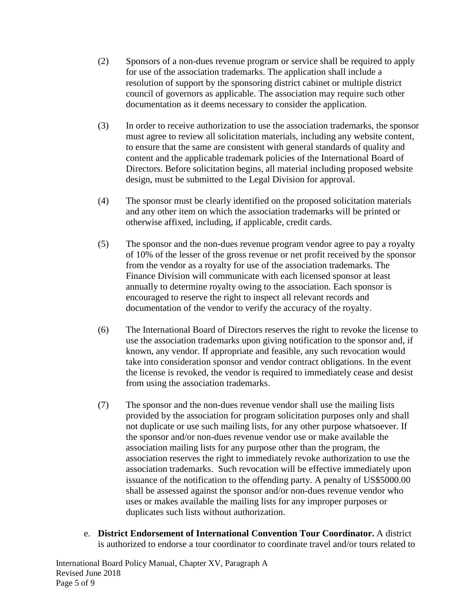- (2) Sponsors of a non-dues revenue program or service shall be required to apply for use of the association trademarks. The application shall include a resolution of support by the sponsoring district cabinet or multiple district council of governors as applicable. The association may require such other documentation as it deems necessary to consider the application.
- (3) In order to receive authorization to use the association trademarks, the sponsor must agree to review all solicitation materials, including any website content, to ensure that the same are consistent with general standards of quality and content and the applicable trademark policies of the International Board of Directors. Before solicitation begins, all material including proposed website design, must be submitted to the Legal Division for approval.
- (4) The sponsor must be clearly identified on the proposed solicitation materials and any other item on which the association trademarks will be printed or otherwise affixed, including, if applicable, credit cards.
- (5) The sponsor and the non-dues revenue program vendor agree to pay a royalty of 10% of the lesser of the gross revenue or net profit received by the sponsor from the vendor as a royalty for use of the association trademarks. The Finance Division will communicate with each licensed sponsor at least annually to determine royalty owing to the association. Each sponsor is encouraged to reserve the right to inspect all relevant records and documentation of the vendor to verify the accuracy of the royalty.
- (6) The International Board of Directors reserves the right to revoke the license to use the association trademarks upon giving notification to the sponsor and, if known, any vendor. If appropriate and feasible, any such revocation would take into consideration sponsor and vendor contract obligations. In the event the license is revoked, the vendor is required to immediately cease and desist from using the association trademarks.
- (7) The sponsor and the non-dues revenue vendor shall use the mailing lists provided by the association for program solicitation purposes only and shall not duplicate or use such mailing lists, for any other purpose whatsoever. If the sponsor and/or non-dues revenue vendor use or make available the association mailing lists for any purpose other than the program, the association reserves the right to immediately revoke authorization to use the association trademarks. Such revocation will be effective immediately upon issuance of the notification to the offending party. A penalty of US\$5000.00 shall be assessed against the sponsor and/or non-dues revenue vendor who uses or makes available the mailing lists for any improper purposes or duplicates such lists without authorization.
- e. **District Endorsement of International Convention Tour Coordinator.** A district is authorized to endorse a tour coordinator to coordinate travel and/or tours related to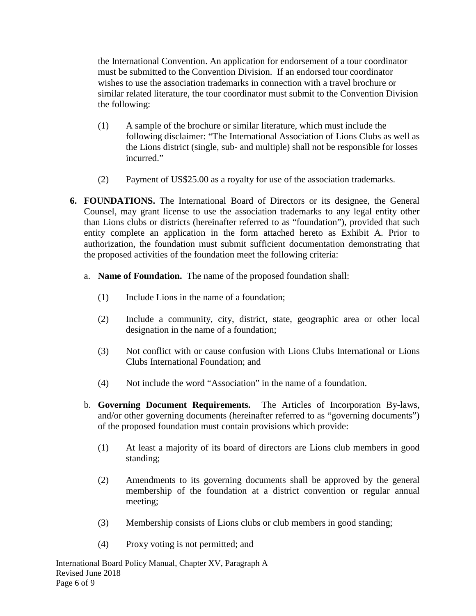the International Convention. An application for endorsement of a tour coordinator must be submitted to the Convention Division. If an endorsed tour coordinator wishes to use the association trademarks in connection with a travel brochure or similar related literature, the tour coordinator must submit to the Convention Division the following:

- (1) A sample of the brochure or similar literature, which must include the following disclaimer: "The International Association of Lions Clubs as well as the Lions district (single, sub- and multiple) shall not be responsible for losses incurred."
- (2) Payment of US\$25.00 as a royalty for use of the association trademarks.
- **6. FOUNDATIONS.** The International Board of Directors or its designee, the General Counsel, may grant license to use the association trademarks to any legal entity other than Lions clubs or districts (hereinafter referred to as "foundation"), provided that such entity complete an application in the form attached hereto as Exhibit A. Prior to authorization, the foundation must submit sufficient documentation demonstrating that the proposed activities of the foundation meet the following criteria:
	- a. **Name of Foundation.** The name of the proposed foundation shall:
		- (1) Include Lions in the name of a foundation;
		- (2) Include a community, city, district, state, geographic area or other local designation in the name of a foundation;
		- (3) Not conflict with or cause confusion with Lions Clubs International or Lions Clubs International Foundation; and
		- (4) Not include the word "Association" in the name of a foundation.
	- b. **Governing Document Requirements.** The Articles of Incorporation By-laws, and/or other governing documents (hereinafter referred to as "governing documents") of the proposed foundation must contain provisions which provide:
		- (1) At least a majority of its board of directors are Lions club members in good standing;
		- (2) Amendments to its governing documents shall be approved by the general membership of the foundation at a district convention or regular annual meeting;
		- (3) Membership consists of Lions clubs or club members in good standing;
		- (4) Proxy voting is not permitted; and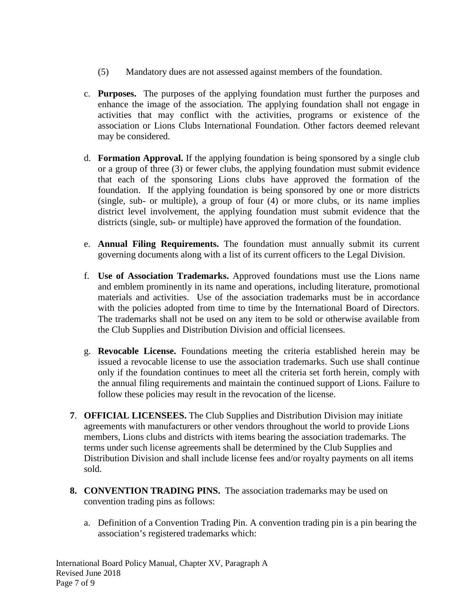- (5) Mandatory dues are not assessed against members of the foundation.
- c. **Purposes.** The purposes of the applying foundation must further the purposes and enhance the image of the association. The applying foundation shall not engage in activities that may conflict with the activities, programs or existence of the association or Lions Clubs International Foundation. Other factors deemed relevant may be considered.
- d. **Formation Approval.** If the applying foundation is being sponsored by a single club or a group of three (3) or fewer clubs, the applying foundation must submit evidence that each of the sponsoring Lions clubs have approved the formation of the foundation. If the applying foundation is being sponsored by one or more districts (single, sub- or multiple), a group of four (4) or more clubs, or its name implies district level involvement, the applying foundation must submit evidence that the districts (single, sub- or multiple) have approved the formation of the foundation.
- e. **Annual Filing Requirements.** The foundation must annually submit its current governing documents along with a list of its current officers to the Legal Division.
- f. **Use of Association Trademarks.** Approved foundations must use the Lions name and emblem prominently in its name and operations, including literature, promotional materials and activities. Use of the association trademarks must be in accordance with the policies adopted from time to time by the International Board of Directors. The trademarks shall not be used on any item to be sold or otherwise available from the Club Supplies and Distribution Division and official licensees.
- g. **Revocable License.** Foundations meeting the criteria established herein may be issued a revocable license to use the association trademarks. Such use shall continue only if the foundation continues to meet all the criteria set forth herein, comply with the annual filing requirements and maintain the continued support of Lions. Failure to follow these policies may result in the revocation of the license.
- **7**. **OFFICIAL LICENSEES.** The Club Supplies and Distribution Division may initiate agreements with manufacturers or other vendors throughout the world to provide Lions members, Lions clubs and districts with items bearing the association trademarks. The terms under such license agreements shall be determined by the Club Supplies and Distribution Division and shall include license fees and/or royalty payments on all items sold.
- **8. CONVENTION TRADING PINS.** The association trademarks may be used on convention trading pins as follows:
	- a. Definition of a Convention Trading Pin. A convention trading pin is a pin bearing the association's registered trademarks which: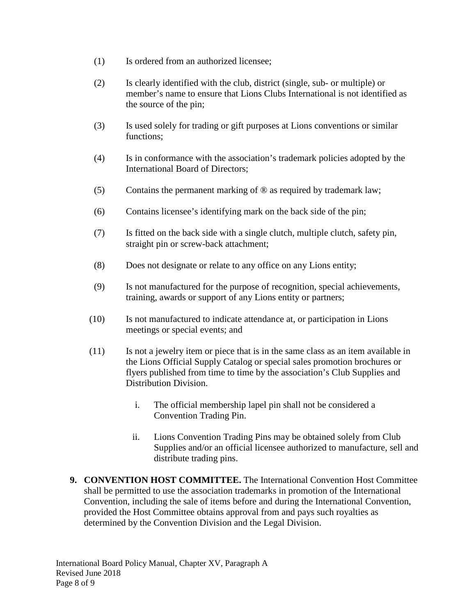- (1) Is ordered from an authorized licensee;
- (2) Is clearly identified with the club, district (single, sub- or multiple) or member's name to ensure that Lions Clubs International is not identified as the source of the pin;
- (3) Is used solely for trading or gift purposes at Lions conventions or similar functions;
- (4) Is in conformance with the association's trademark policies adopted by the International Board of Directors;
- (5) Contains the permanent marking of ® as required by trademark law;
- (6) Contains licensee's identifying mark on the back side of the pin;
- (7) Is fitted on the back side with a single clutch, multiple clutch, safety pin, straight pin or screw-back attachment;
- (8) Does not designate or relate to any office on any Lions entity;
- (9) Is not manufactured for the purpose of recognition, special achievements, training, awards or support of any Lions entity or partners;
- (10) Is not manufactured to indicate attendance at, or participation in Lions meetings or special events; and
- (11) Is not a jewelry item or piece that is in the same class as an item available in the Lions Official Supply Catalog or special sales promotion brochures or flyers published from time to time by the association's Club Supplies and Distribution Division.
	- i. The official membership lapel pin shall not be considered a Convention Trading Pin.
	- ii. Lions Convention Trading Pins may be obtained solely from Club Supplies and/or an official licensee authorized to manufacture, sell and distribute trading pins.
- **9. CONVENTION HOST COMMITTEE.** The International Convention Host Committee shall be permitted to use the association trademarks in promotion of the International Convention, including the sale of items before and during the International Convention, provided the Host Committee obtains approval from and pays such royalties as determined by the Convention Division and the Legal Division.